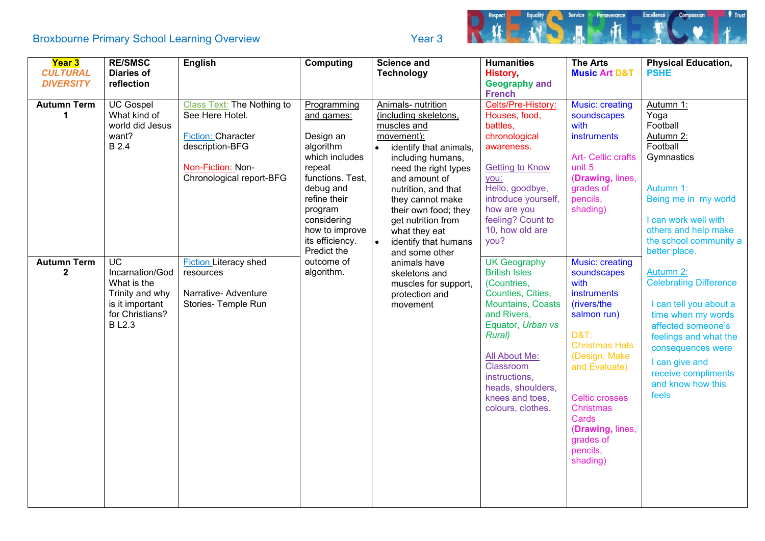## Broxbourne Primary School Learning Overview The Contract of the Year 3



| Year 3             | <b>RE/SMSC</b>    | <b>English</b>               | <b>Computing</b> | <b>Science and</b>                | <b>Humanities</b>        | <b>The Arts</b>           | <b>Physical Education,</b>    |
|--------------------|-------------------|------------------------------|------------------|-----------------------------------|--------------------------|---------------------------|-------------------------------|
| <b>CULTURAL</b>    | <b>Diaries of</b> |                              |                  | <b>Technology</b>                 | History,                 | <b>Music Art D&amp;T</b>  | <b>PSHE</b>                   |
| <b>DIVERSITY</b>   | reflection        |                              |                  |                                   | <b>Geography and</b>     |                           |                               |
|                    |                   |                              |                  |                                   | <b>French</b>            |                           |                               |
| <b>Autumn Term</b> | <b>UC Gospel</b>  | Class Text: The Nothing to   | Programming      | Animals- nutrition                | Celts/Pre-History:       | <b>Music: creating</b>    | Autumn 1:                     |
| $\mathbf 1$        | What kind of      | See Here Hotel.              | and games:       | (including skeletons,             | Houses, food,            | soundscapes               | Yoga                          |
|                    | world did Jesus   |                              |                  | muscles and                       | battles,                 | with                      | Football                      |
|                    | want?             | Fiction: Character           | Design an        | movement):                        | chronological            | instruments               | Autumn 2:                     |
|                    | B 2.4             | description-BFG              | algorithm        | identify that animals,            | awareness.               |                           | Football                      |
|                    |                   |                              | which includes   | including humans,                 |                          | <b>Art- Celtic crafts</b> | Gymnastics                    |
|                    |                   | Non-Fiction: Non-            | repeat           | need the right types              | <b>Getting to Know</b>   | unit 5                    |                               |
|                    |                   | Chronological report-BFG     | functions. Test, | and amount of                     | you:                     | (Drawing, lines,          |                               |
|                    |                   |                              | debug and        | nutrition, and that               | Hello, goodbye,          | grades of                 | Autumn 1:                     |
|                    |                   |                              | refine their     | they cannot make                  | introduce yourself,      | pencils,                  | Being me in my world          |
|                    |                   |                              | program          | their own food; they              | how are you              | shading)                  |                               |
|                    |                   |                              | considering      | get nutrition from                | feeling? Count to        |                           | I can work well with          |
|                    |                   |                              | how to improve   | what they eat                     | 10, how old are          |                           | others and help make          |
|                    |                   |                              | its efficiency.  | $\bullet$<br>identify that humans | you?                     |                           | the school community a        |
|                    |                   |                              | Predict the      | and some other                    |                          |                           | better place.                 |
| <b>Autumn Term</b> | <b>UC</b>         | <b>Fiction Literacy shed</b> | outcome of       | animals have                      | <b>UK Geography</b>      | <b>Music: creating</b>    |                               |
| $\mathbf{2}$       | Incarnation/God   | resources                    | algorithm.       | skeletons and                     | <b>British Isles</b>     | soundscapes               | Autumn 2:                     |
|                    | What is the       |                              |                  | muscles for support,              | (Countries,              | with                      | <b>Celebrating Difference</b> |
|                    | Trinity and why   | Narrative- Adventure         |                  | protection and                    | Counties, Cities,        | instruments               |                               |
|                    | is it important   | Stories- Temple Run          |                  | movement                          | <b>Mountains, Coasts</b> | (rivers/the               | I can tell you about a        |
|                    | for Christians?   |                              |                  |                                   | and Rivers,              | salmon run)               | time when my words            |
|                    | <b>BL2.3</b>      |                              |                  |                                   | Equator, Urban vs        |                           | affected someone's            |
|                    |                   |                              |                  |                                   | <b>Rural</b> )           | <b>D&amp;T:</b>           | feelings and what the         |
|                    |                   |                              |                  |                                   |                          | <b>Christmas Hats</b>     | consequences were             |
|                    |                   |                              |                  |                                   | All About Me:            | (Design, Make             | I can give and                |
|                    |                   |                              |                  |                                   | Classroom                | and Evaluate)             | receive compliments           |
|                    |                   |                              |                  |                                   | instructions,            |                           | and know how this             |
|                    |                   |                              |                  |                                   | heads, shoulders,        |                           | feels                         |
|                    |                   |                              |                  |                                   | knees and toes,          | <b>Celtic crosses</b>     |                               |
|                    |                   |                              |                  |                                   | colours, clothes.        | <b>Christmas</b>          |                               |
|                    |                   |                              |                  |                                   |                          | Cards                     |                               |
|                    |                   |                              |                  |                                   |                          | (Drawing, lines,          |                               |
|                    |                   |                              |                  |                                   |                          | grades of                 |                               |
|                    |                   |                              |                  |                                   |                          | pencils,                  |                               |
|                    |                   |                              |                  |                                   |                          | shading)                  |                               |
|                    |                   |                              |                  |                                   |                          |                           |                               |
|                    |                   |                              |                  |                                   |                          |                           |                               |
|                    |                   |                              |                  |                                   |                          |                           |                               |
|                    |                   |                              |                  |                                   |                          |                           |                               |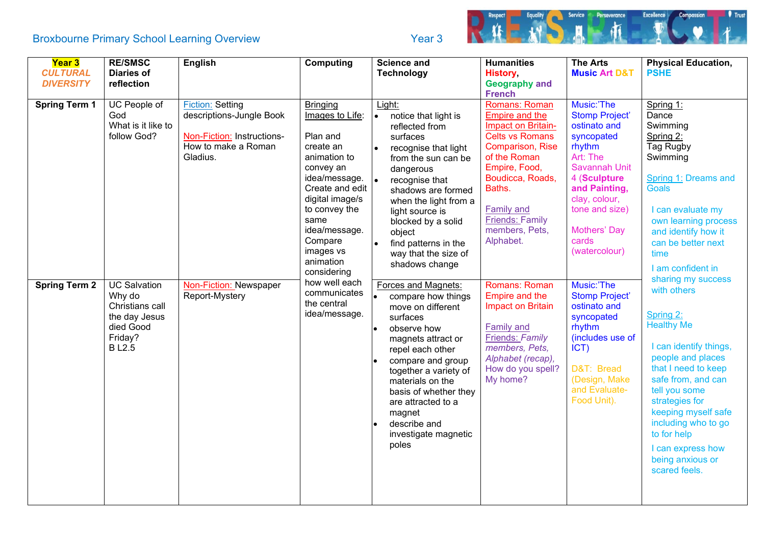## Broxbourne Primary School Learning Overview The Contract of the Year 3



| <b>Year 3</b>        | <b>RE/SMSC</b>      | <b>English</b>             | <b>Computing</b>           | <b>Science and</b>                    | <b>Humanities</b>                 | <b>The Arts</b>                  | <b>Physical Education,</b> |
|----------------------|---------------------|----------------------------|----------------------------|---------------------------------------|-----------------------------------|----------------------------------|----------------------------|
| <b>CULTURAL</b>      | <b>Diaries of</b>   |                            |                            | <b>Technology</b>                     | <b>History</b>                    | <b>Music Art D&amp;T</b>         | <b>PSHE</b>                |
| <b>DIVERSITY</b>     | reflection          |                            |                            |                                       | <b>Geography and</b>              |                                  |                            |
|                      |                     |                            |                            |                                       | <b>French</b>                     |                                  |                            |
| <b>Spring Term 1</b> | UC People of        | <b>Fiction: Setting</b>    | <b>Bringing</b>            | Light:                                | Romans: Roman                     | Music:'The                       | Spring 1:                  |
|                      | God                 | descriptions-Jungle Book   | Images to Life:            | notice that light is<br>$\bullet$     | <b>Empire and the</b>             | <b>Stomp Project'</b>            | Dance                      |
|                      | What is it like to  |                            |                            | reflected from                        | Impact on Britain-                | ostinato and                     | Swimming                   |
|                      | follow God?         | Non-Fiction: Instructions- | Plan and                   | surfaces                              | <b>Celts vs Romans</b>            | syncopated                       | Spring 2:                  |
|                      |                     | How to make a Roman        | create an                  | recognise that light<br>$\bullet$     | Comparison, Rise                  | rhythm                           | Tag Rugby                  |
|                      |                     | Gladius.                   | animation to               | from the sun can be                   | of the Roman                      | Art: The<br><b>Savannah Unit</b> | Swimming                   |
|                      |                     |                            | convey an<br>idea/message. | dangerous                             | Empire, Food,<br>Boudicca, Roads, | 4 (Sculpture                     | Spring 1: Dreams and       |
|                      |                     |                            | Create and edit            | recognise that                        | Baths.                            | and Painting,                    | <b>Goals</b>               |
|                      |                     |                            | digital image/s            | shadows are formed                    |                                   | clay, colour,                    |                            |
|                      |                     |                            | to convey the              | when the light from a                 | <b>Family and</b>                 | tone and size)                   | I can evaluate my          |
|                      |                     |                            | same                       | light source is<br>blocked by a solid | <b>Friends: Family</b>            |                                  | own learning process       |
|                      |                     |                            | idea/message.              | object                                | members, Pets,                    | Mothers' Day                     | and identify how it        |
|                      |                     |                            | Compare                    | find patterns in the<br>$\bullet$     | Alphabet.                         | cards                            | can be better next         |
|                      |                     |                            | images vs                  | way that the size of                  |                                   | (watercolour)                    | time                       |
|                      |                     |                            | animation                  | shadows change                        |                                   |                                  |                            |
|                      |                     |                            | considering                |                                       |                                   |                                  | I am confident in          |
| <b>Spring Term 2</b> | <b>UC Salvation</b> | Non-Fiction: Newspaper     | how well each              | Forces and Magnets:                   | Romans: Roman                     | Music:'The                       | sharing my success         |
|                      | Why do              | Report-Mystery             | communicates               | compare how things                    | Empire and the                    | <b>Stomp Project'</b>            | with others                |
|                      | Christians call     |                            | the central                | move on different                     | Impact on Britain                 | ostinato and                     |                            |
|                      | the day Jesus       |                            | idea/message.              | surfaces                              |                                   | syncopated                       | Spring 2:                  |
|                      | died Good           |                            |                            | observe how                           | <b>Family and</b>                 | rhythm                           | <b>Healthy Me</b>          |
|                      | Friday?             |                            |                            | magnets attract or                    | Friends: Family                   | (includes use of                 |                            |
|                      | <b>BL2.5</b>        |                            |                            | repel each other                      | members, Pets,                    | ICT)                             | I can identify things,     |
|                      |                     |                            |                            | compare and group                     | Alphabet (recap),                 |                                  | people and places          |
|                      |                     |                            |                            | together a variety of                 | How do you spell?                 | D&T: Bread                       | that I need to keep        |
|                      |                     |                            |                            | materials on the                      | My home?                          | (Design, Make                    | safe from, and can         |
|                      |                     |                            |                            | basis of whether they                 |                                   | and Evaluate-                    | tell you some              |
|                      |                     |                            |                            | are attracted to a                    |                                   | Food Unit).                      | strategies for             |
|                      |                     |                            |                            | magnet                                |                                   |                                  | keeping myself safe        |
|                      |                     |                            |                            | describe and                          |                                   |                                  | including who to go        |
|                      |                     |                            |                            | investigate magnetic                  |                                   |                                  | to for help                |
|                      |                     |                            |                            | poles                                 |                                   |                                  | I can express how          |
|                      |                     |                            |                            |                                       |                                   |                                  | being anxious or           |
|                      |                     |                            |                            |                                       |                                   |                                  | scared feels.              |
|                      |                     |                            |                            |                                       |                                   |                                  |                            |
|                      |                     |                            |                            |                                       |                                   |                                  |                            |
|                      |                     |                            |                            |                                       |                                   |                                  |                            |